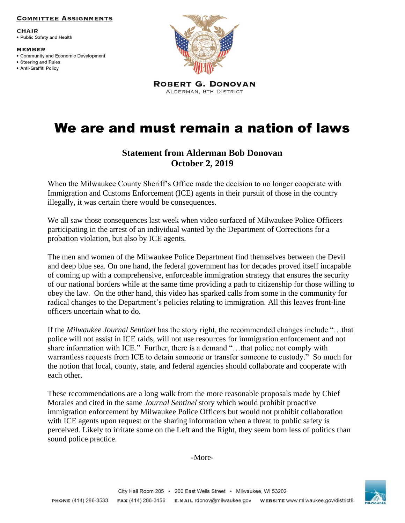## **COMMITTEE ASSIGNMENTS**

**CHAIR** • Public Safety and Health

**MEMBER** 

- Community and Economic Development
- Steering and Rules · Anti-Graffiti Policy



**ROBERT G. DONOVAN** ALDERMAN, 8TH DISTRICT

## We are and must remain a nation of laws

## **Statement from Alderman Bob Donovan October 2, 2019**

When the Milwaukee County Sheriff's Office made the decision to no longer cooperate with Immigration and Customs Enforcement (ICE) agents in their pursuit of those in the country illegally, it was certain there would be consequences.

We all saw those consequences last week when video surfaced of Milwaukee Police Officers participating in the arrest of an individual wanted by the Department of Corrections for a probation violation, but also by ICE agents.

The men and women of the Milwaukee Police Department find themselves between the Devil and deep blue sea. On one hand, the federal government has for decades proved itself incapable of coming up with a comprehensive, enforceable immigration strategy that ensures the security of our national borders while at the same time providing a path to citizenship for those willing to obey the law. On the other hand, this video has sparked calls from some in the community for radical changes to the Department's policies relating to immigration. All this leaves front-line officers uncertain what to do.

If the *Milwaukee Journal Sentinel* has the story right, the recommended changes include "…that police will not assist in ICE raids, will not use resources for immigration enforcement and not share information with ICE." Further, there is a demand "…that police not comply with warrantless requests from ICE to detain someone or transfer someone to custody." So much for the notion that local, county, state, and federal agencies should collaborate and cooperate with each other.

These recommendations are a long walk from the more reasonable proposals made by Chief Morales and cited in the same *Journal Sentinel* story which would prohibit proactive immigration enforcement by Milwaukee Police Officers but would not prohibit collaboration with ICE agents upon request or the sharing information when a threat to public safety is perceived. Likely to irritate some on the Left and the Right, they seem born less of politics than sound police practice.

-More-